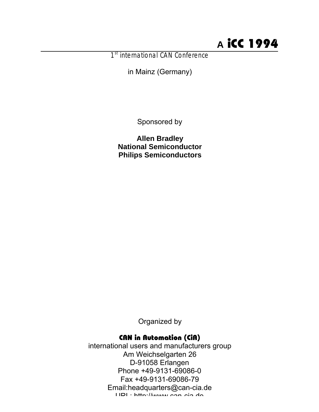# **A** iCC 1994

1<sup>st</sup> international CAN Conference

in Mainz (Germany)

Sponsored by

**Allen Bradley National Semiconductor Philips Semiconductors**

Organized by

# CAN in Automation (CiA)

international users and manufacturers group Am Weichselgarten 26 D-91058 Erlangen Phone +49-9131-69086-0 Fax +49-9131-69086-79 Email:headquarters@can-cia.de  $UDI: hffn:1/hnnm:con$ can-cia.de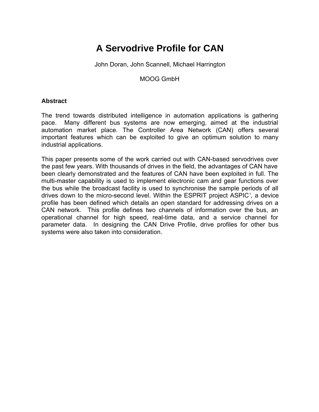# **A Servodrive Profile for CAN**

John Doran, John Scannell, Michael Harrington

MOOG GmbH

## **Abstract**

The trend towards distributed intelligence in automation applications is gathering pace. Many different bus systems are now emerging, aimed at the industrial automation market place. The Controller Area Network (CAN) offers several important features which can be exploited to give an optimum solution to many industrial applications.

This paper presents some of the work carried out with CAN-based servodrives over the past few years. With thousands of drives in the field, the advantages of CAN have been clearly demonstrated and the features of CAN have been exploited in full. The multi-master capability is used to implement electronic cam and gear functions over the bus while the broadcast facility is used to synchronise the sample periods of all drives down to the micro-second level. Within the ESPRIT project ASPIC<sup>1</sup>, a device profile has been defined which details an open standard for addressing drives on a CAN network. This profile defines two channels of information over the bus, an operational channel for high speed, real-time data, and a service channel for parameter data. In designing the CAN Drive Profile, drive profiles for other bus systems were also taken into consideration.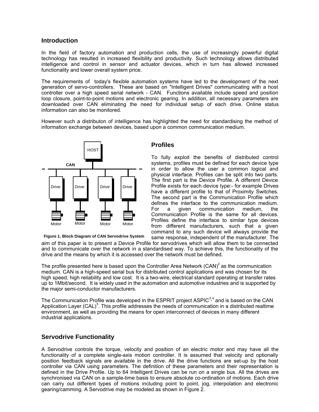## **Introduction**

In the field of factory automation and production cells, the use of increasingly powerful digital technology has resulted in increased flexibility and productivity. Such technology allows distributed intelligence and control in sensor and actuator devices, which in turn has allowed increased functionality and lower overall system price.

The requirements of today's flexible automation systems have led to the development of the next generation of servo-controllers. These are based on "Intelligent Drives" communicating with a host controller over a high speed serial network - CAN. Functions available include speed and position loop closure, point-to-point motions and electronic gearing. In addition, all necessary parameters are downloaded over CAN eliminating the need for individual setup of each drive. Online status information can also be monitored.

However such a distributon of intelligence has highlighted the need for standardising the method of information exchange between devices, based upon a common communication medium.



**Figure 1. Block Diagram of CAN Servodrive System**

## **Profiles**

To fully exploit the benefits of distributed control systems, profiles must be defined for each device type in order to allow the user a common logical and physical interface. Profiles can be split into two parts. The first part is the Device Profile. A different Device Profile exists for each device type:- for example Drives have a different profile to that of Proximity Switches. The second part is the Communication Profile which defines the interface to the communication medium. For a given communication medium, the Communication Profile is the same for all devices. Profiles define the interface to similar type devices from different manufacturers, such that a given command to any such device will always provide the same response, independent of the manufacturer. The

aim of this paper is to present a Device Profile for servodrives which will allow them to be connected and to communicate over the network in a standardised way. To achieve this, the functionality of the drive and the means by which it is accessed over the network must be defined.

The profile presented here is based upon the Controller Area Network (CAN)<sup>2</sup> as the communication medium. CAN is a high-speed serial bus for distributed control applications and was chosen for its high speed, high reliability and low cost. It is a two-wire, electrical standard operating at transfer rates up to 1Mbit/second. It is widely used in the automation and automotive industries and is supported by the major semi-conductor manufacturers.

The Communication Profile was developed in the ESPRIT project ASPIC<sup>3,4</sup> and is based on the CAN Application Layer (CAL)<sup>5</sup>. This profile addresses the needs of communication in a distributed realtime environment, as well as providing the means for open interconnect of devices in many different industrial applications.

# **Servodrive Functionality**

A Servodrive controls the torque, velocity and position of an electric motor and may have all the functionality of a complete single-axis motion controller. It is assumed that velocity and optionally position feedback signals are available in the drive. All the drive functions are set-up by the host controller via CAN using parameters. The definition of these parameters and their representation is defined in the Drive Profile. Up to 64 Intelligent Drives can be run on a single bus. All the drives are synchronised via CAN on a sample-time basis to ensure absolute co-ordination of motions. Each drive can carry out different types of motions including point to point, jog, interpolation and electronic gearing/camming. A Servodrive may be modeled as shown in Figure 2.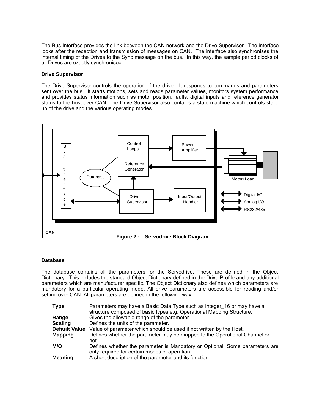The Bus Interface provides the link between the CAN network and the Drive Supervisor. The interface looks after the reception and transmission of messages on CAN. The interface also synchronises the internal timing of the Drives to the Sync message on the bus. In this way, the sample period clocks of all Drives are exactly synchronised.

#### **Drive Supervisor**

The Drive Supervisor controls the operation of the drive. It responds to commands and parameters sent over the bus. It starts motions, sets and reads parameter values, monitors system performance and provides status information such as motor position, faults, digital inputs and reference generator status to the host over CAN. The Drive Supervisor also contains a state machine which controls startup of the drive and the various operating modes.



## **Figure 2 : Servodrive Block Diagram**

#### **Database**

The database contains all the parameters for the Servodrive. These are defined in the Object Dictionary. This includes the standard Object Dictionary defined in the Drive Profile and any additional parameters which are manufacturer specific. The Object Dictionary also defines which parameters are mandatory for a particular operating mode. All drive parameters are accessible for reading and/or setting over CAN. All parameters are defined in the following way:

| <b>Type</b>    | Parameters may have a Basic Data Type such as Integer 16 or may have a<br>structure composed of basic types e.g. Operational Mapping Structure. |
|----------------|-------------------------------------------------------------------------------------------------------------------------------------------------|
| Range          | Gives the allowable range of the parameter.                                                                                                     |
| <b>Scaling</b> | Defines the units of the parameter.                                                                                                             |
|                | Default Value Value of parameter which should be used if not written by the Host.                                                               |
| <b>Mapping</b> | Defines whether the parameter may be mapped to the Operational Channel or<br>not.                                                               |
| M/O            | Defines whether the parameter is Mandatory or Optional. Some parameters are<br>only required for certain modes of operation.                    |
| <b>Meaning</b> | A short description of the parameter and its function.                                                                                          |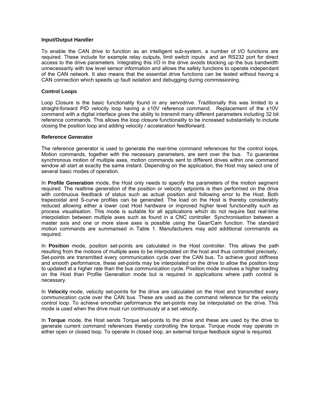#### **Input/Output Handler**

To enable the CAN drive to function as an intelligent sub-system, a number of I/O functions are required. These include for example relay outputs, limit switch inputs and an RS232 port for direct access to the drive parameters. Integrating this I/O in the drive avoids blocking up the bus bandwidth unnecessarily with low level sensor information and allows the safety functions to operate independant of the CAN network. It also means that the essential drive functions can be tested without having a CAN connection which speeds up fault isolation and debugging during commissioning.

#### **Control Loops**

Loop Closure is the basic functionality found in any servodrive. Traditionally this was limited to a straight-forward PID velocity loop having a  $\pm 10V$  reference command. Replacement of the  $\pm 10V$ command with a digital interface gives the ability to transmit many different parameters including 32 bit reference commands. This allows the loop closure functionality to be increased substantially to include closing the position loop and adding velocity / acceleration feedforward.

#### **Reference Generator**

The reference generator is used to generate the real-time command references for the control loops. Motion commands, together with the necessary parameters, are sent over the bus. To guarantee synchronous motion of multiple axes, motion commands sent to different drives within one command window all start at exactly the same instant. Depending on the application, the Host may select one of several basic modes of operation.

In **Profile Generation** mode, the Host only needs to specify the parameters of the motion segment required. The realtime generation of the position or velocity setpoints is then performed on the drive with continuous feedback of status such as actual position and following error to the Host. Both trapezoidal and S-curve profiles can be generated. The load on the Host is thereby considerably reduced allowing either a lower cost Host hardware or improved higher level functionality such as process visualisation. This mode is suitable for all applications which do not require fast real-time interpolation between multiple axes such as found in a CNC controller. Synchronisation between a master axis and one or more slave axes is possible using the Gear/Cam function. The standard motion commands are summarised in Table 1. Manufacturers may add additional commands as required.

In **Position** mode, position set-points are calculated in the Host controller. This allows the path resulting from the motions of multiple axes to be interpolated on the host and thus controlled precisely. Set-points are transmitted every communication cycle over the CAN bus. To achieve good stiffness and smooth performance, these set-points may be interpolated on the drive to allow the position loop to updated at a higher rate than the bus communication cycle. Position mode involves a higher loading on the Host than Profile Generation mode but is required in applications where path control is necessary.

In **Velocity** mode, velocity set-points for the drive are calculated on the Host and transmitted every communication cycle over the CAN bus. These are used as the command reference for the velocity control loop. To achieve smoother peformance the set-points may be interpolated on the drive. This mode is used when the drive must run continuously at a set velocity.

In **Torque** mode, the Host sends Torque set-points to the drive and these are used by the drive to generate current command references thereby controlling the torque. Torque mode may operate in either open or closed loop. To operate in closed loop, an external torque feedback signal is required.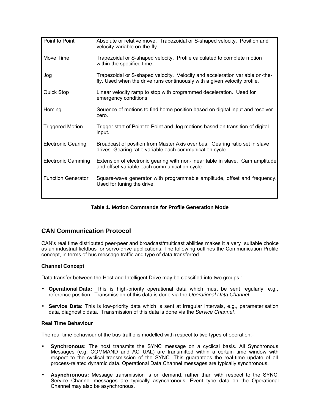| Point to Point            | Absolute or relative move. Trapezoidal or S-shaped velocity. Position and<br>velocity variable on-the-fly.                                                |
|---------------------------|-----------------------------------------------------------------------------------------------------------------------------------------------------------|
| Move Time                 | Trapezoidal or S-shaped velocity. Profile calculated to complete motion<br>within the specified time.                                                     |
| Jog                       | Trapezoidal or S-shaped velocity. Velocity and acceleration variable on-the-<br>fly. Used when the drive runs continuously with a given velocity profile. |
| <b>Quick Stop</b>         | Linear velocity ramp to stop with programmed deceleration. Used for<br>emergency conditions.                                                              |
| Homing                    | Seuence of motions to find home position based on digital input and resolver<br>zero.                                                                     |
| <b>Triggered Motion</b>   | Trigger start of Point to Point and Jog motions based on transition of digital<br>input.                                                                  |
| <b>Electronic Gearing</b> | Broadcast of position from Master Axis over bus. Gearing ratio set in slave<br>drives. Gearing ratio variable each communication cycle.                   |
| <b>Electronic Camming</b> | Extension of electronic gearing with non-linear table in slave. Cam amplitude<br>and offset variable each communication cycle.                            |
| <b>Function Generator</b> | Square-wave generator with programmable amplitude, offset and frequency.<br>Used for tuning the drive.                                                    |
|                           |                                                                                                                                                           |

**Table 1. Motion Commands for Profile Generation Mode**

# **CAN Communication Protocol**

CAN's real time distributed peer-peer and broadcast/multicast abilities makes it a very suitable choice as an industrial fieldbus for servo-drive applications. The following outlines the Communication Profile concept, in terms of bus message traffic and type of data transferred.

## **Channel Concept**

Data transfer between the Host and Intelligent Drive may be classified into two groups :

- **Operational Data:** This is high-priority operational data which must be sent regularly, e.g., reference position. Transmission of this data is done via the *Operational Data Channel.*
- **Service Data:** This is low-priority data which is sent at irregular intervals, e.g., parameterisation data, diagnostic data. Transmission of this data is done via the *Service Channel.*

## **Real Time Behaviour**

The real-time behaviour of the bus-traffic is modelled with respect to two types of operation:-

- **Synchronous:** The host transmits the SYNC message on a cyclical basis. All Synchronous Messages (e.g. COMMAND and ACTUAL) are transmitted within a certain time window with respect to the cyclical transmission of the SYNC. This guarantees the real-time update of all process-related dynamic data. Operational Data Channel messages are typically synchronous.
- **Asynchronous:** Message transmission is on demand, rather than with respect to the SYNC. Service Channel messages are typically asynchronous. Event type data on the Operational Channel may also be asynchronous.

**Bus Messages**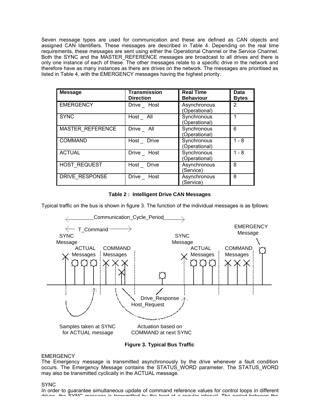Seven message types are used for communication and these are defined as CAN objects and assigned CAN Identifiers. These messages are described in Table 4. Depending on the real time requirements, these messages are sent using either the Operational Channel or the Service Channel. Both the SYNC and the MASTER REFERENCE messages are broadcast to all drives and there is only one instance of each of these. The other messages relate to a specific drive in the network and therefore have as many instances as there are drives on the network. The messages are prioritised as listed in Table 4, with the EMERGENCY messages having the highest priority.

| <b>Message</b>   | <b>Transmission</b><br><b>Direction</b> | <b>Real Time</b><br><b>Behaviour</b> | <b>Data</b><br><b>Bytes</b> |
|------------------|-----------------------------------------|--------------------------------------|-----------------------------|
| <b>EMERGENCY</b> | Drive _ Host                            | Asynchronous<br>(Operational)        | 2                           |
| <b>SYNC</b>      | Host_All                                | Synchronous<br>(Operational)         |                             |
| MASTER REFERENCE | Drive _ All                             | Synchronous<br>(Operational)         | 6                           |
| <b>COMMAND</b>   | Host_Drive                              | Synchronous<br>(Operational)         | $1 - 8$                     |
| <b>ACTUAL</b>    | Drive _ Host                            | Synchronous<br>(Operational)         | $1 - 8$                     |
| HOST REQUEST     | Host_Drive                              | Asynchronous<br>(Service)            | 8                           |
| DRIVE RESPONSE   | Drive _ Host                            | Asynchronous<br>(Service)            | 8                           |

**Table 2 : Intelligent Drive CAN Messages**

Typical traffic on the bus is shown in figure 3. The function of the individual messages is as fpllows:



**Figure 3. Typical Bus Traffic**

#### **EMERGENCY**

The Emergency message is transmitted asynchronously by the drive whenever a fault condition occurs. The Emergency Message contains the STATUS\_WORD parameter. The STATUS\_WORD may also be transmitted cyclically in the ACTUAL message.

#### SYNC

In order to guarantee simultaneous update of command reference values for control loops in different drives, the SYNC message is transmitted by the host at a regular interval. The period between the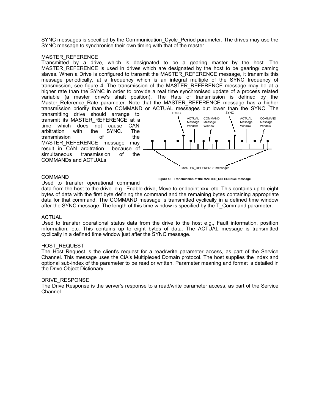SYNC messages is specified by the Communication\_Cycle\_Period parameter. The drives may use the SYNC message to synchronise their own timing with that of the master.

#### MASTER\_REFERENCE

Transmitted by a drive, which is designated to be a gearing master by the host. The MASTER\_REFERENCE is used in drives which are designated by the host to be gearing/ caming slaves. When a Drive is configured to transmit the MASTER\_REFERENCE message, it transmits this message periodically, at a frequency which is an integral multiple of the SYNC frequency of transmission, see figure 4. The transmission of the MASTER\_REFERENCE message may be at a higher rate than the SYNC in order to provide a real time synchronised update of a process related variable (a master drive's shaft position). The Rate of transmission is defined by the Master Reference Rate parameter. Note that the MASTER REFERENCE message has a higher transmission priority than the COMMAND or ACTUAL messages but lower than the SYNC. The SYNC SYNC<sub>2</sub> and the system of the system of the system of the system of the system of the system of the system of the system of the system of the system of the system of the system of the system of the system of the system of

transmitting drive should arrange to transmit its MASTER\_REFERENCE at a time which does not cause CAN<br>arbitration with the SYNC. The arbitration with the SYNC. The transmission of the MASTER REFERENCE message may result in CAN arbitration because of simultaneous transmission of the COMMANDs and ACTUALs.



#### COMMAND

Used to transfer operational command

**Figure 4 : Transmission of the MASTER\_REFERENCE message**

data from the host to the drive. e.g., Enable drive, Move to endpoint xxx, etc. This contains up to eight bytes of data with the first byte defining the command and the remaining bytes containing appropriate data for that command. The COMMAND message is transmitted cyclically in a defined time window after the SYNC message. The length of this time window is specified by the T\_Command parameter.

#### ACTUAL

Used to transfer operational status data from the drive to the host e.g., Fault information, position information, etc. This contains up to eight bytes of data. The ACTUAL message is transmitted cyclically in a defined time window just after the SYNC message.

#### HOST\_REQUEST

The Host Request is the client's request for a read/write parameter access, as part of the Service Channel. This message uses the CiA's Multiplexed Domain protocol. The host supplies the index and optional sub-index of the parameter to be read or written. Parameter meaning and format is detailed in the Drive Object Dictionary.

#### DRIVE\_RESPONSE

The Drive Response is the server's response to a read/write parameter access, as part of the Service Channel.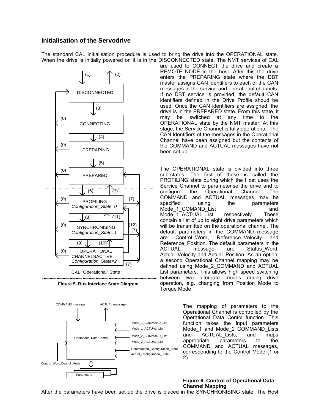## **Initialisation of the Servodrive**

The standard CAL initialisation procedure is used to bring the drive into the OPERATIONAL state. When the drive is initially powered on it is in the DISCONNECTED state. The NMT services of CAL



**Figure 5. Bus Interface State Diagram**



are used to CONNECT the drive and create a REMOTE NODE in the host. After this the drive enters the PREPARING state where the DBT master assigns CAN identifiers to each of the CAN messages in the service and operational channels. If no DBT service is provided, the default CAN identifiers defined in the Drive Profile shoud be used. Once the CAN identifiers are assigned, the drive is in the PREPARED state. From this state, it may be switched at any time to the OPERATIONAL state by the NMT master. At this stage, the Service Channel is fully operational. The CAN Identifiers of the messages in the Operational Channel have been assigned but the contents of the COMMAND and ACTUAL messages have not been set up.

The OPERATIONAL state is divided into three sub-states. The first of these is called the PROFILING state during which the Host uses the Service Channel to parameterise the drive and to configure the Operational Channel. The COMMAND and ACTUAL messages may be specified using the parameters Mode\_1\_COMAND\_List and Mode\_1\_ACTUAL\_List respectively. These  $\overline{\text{constant}}$  a list of up to eight drive parameters which will be transmitted on the operational channel. The default parameters in the COMMAND message are Control Word, Reference Velocity and Reference\_Position. The default parameters in the ACTUAL message are Status Word, Actual Velocity and Actual Position. As an option, a second Operational Channel mapping may be defined using Mode\_2\_COMMAND and ACTUAL List parameters. This allows high speed switching between two alternate modes during drive operation, e.g. changing from Position Mode to Torque Mode.

> The mapping of parameters to the Operational Channel is controlled by the Operational Data Contol function. This function takes the input parameters Mode\_1 and Mode\_2 COMMAND\_Lists and ACTUAL Lists, and maps appropriate parameters to the COMMAND and ACTUAL messages, corresponding to the Control Mode (1 or 2).

#### **Figure 6. Control of Operational Data Channel Mapping**

After the parameters have been set up the drive is placed in the SYNCHRONISING state. The Host starts to broadcast SYNC messages on the bus and those drives which operate synchronously will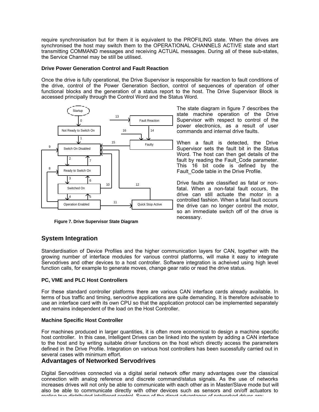require synchronisation but for them it is equivalent to the PROFILING state. When the drives are synchronised the host may switch them to the OPERATIONAL CHANNELS ACTIVE state and start transmitting COMMAND messages and receiving ACTUAL messages. During all of these sub-states, the Service Channel may be still be utilised.

#### **Drive Power Generation Control and Fault Reaction**

Once the drive is fully operational, the Drive Supervisor is responsible for reaction to fault conditions of the drive, control of the Power Generation Section, control of sequences of operation of other functional blocks and the generation of a status report to the host. The Drive Supervisor Block is accessed principally through the Control Word and the Status Word.



**Figure 7. Drive Supervisor State Diagram**

# **System Integration**

Standardisation of Device Profiles and the higher communication layers for CAN, together with the growing number of interface modules for various control platforms, will make it easy to integrate Servodrives and other devices to a host controller. Software integration is acheived using high level function calls, for example to generate moves, change gear ratio or read the drive status.

## **PC, VME and PLC Host Controllers**

For these standard controller platforms there are various CAN interface cards already available. In terms of bus traffic and timing, servodrive applications are quite demanding. It is therefore advisable to use an interface card with its own CPU so that the application protocol can be implemented separately and remains independent of the load on the Host Controller.

#### **Machine Specific Host Controller**

For machines produced in larger quantities, it is often more economical to design a machine specific host controller. In this case, Intelligent Drives can be linked into the system by adding a CAN interface to the host and by writing suitable driver functions on the host which directly access the parameters defined in the Drive Profile. Integration on various host controllers has been sucessfully carried out in several cases with minimum effort.

## **Advantages of Networked Servodrives**

Digital Servodrives connected via a digital serial network offer many advantages over the classical connection with analog reference and discrete command/status signals. As the use of networks increases drives will not only be able to communicate with each other as in Master/Slave mode but will also be able to communicate directly with other devices such as sensors and on/off actuators to realise true distributed intelligent control. Some of the direct advantages of networked drives are:

The state diagram in figure 7 describes the state machine operation of the Drive Supervisor with respect to control of the power electronics, as a result of user commands and internal drive faults.

When a fault is detected, the Drive Supervisor sets the fault bit in the Status Word. The host can then get details of the fault by reading the Fault\_Code parameter. This 16 bit code is defined by the Fault Code table in the Drive Profile.

Drive faults are classified as fatal or nonfatal. When a non-fatal fault occurs, the drive can still actuate the motor in a controlled fashion. When a fatal fault occurs the drive can no longer control the motor, so an immediate switch off of the drive is necessary.